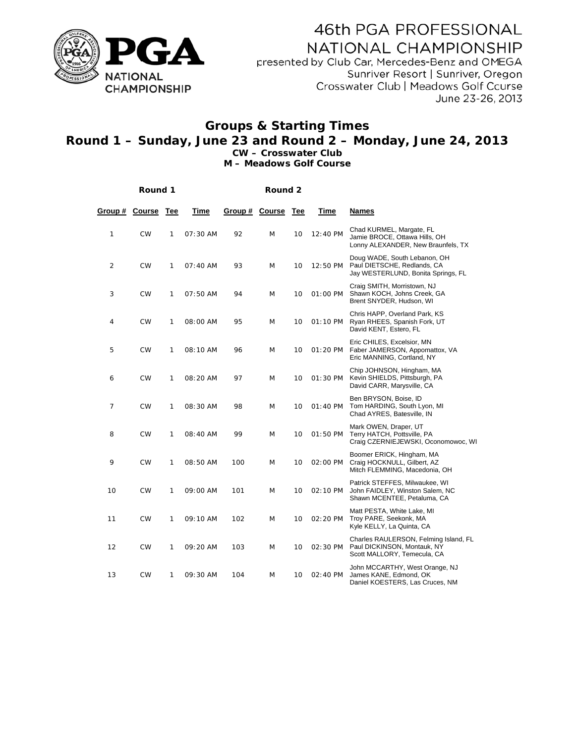

presented by Club Car, Mercedes-Benz and OMEGA Sunriver Resort | Sunriver, Oregon Crosswater Club | Meadows Golf Course June 23-26, 2013

#### **Groups & Starting Times** Round 1 - Sunday, June 23 and Round 2 - Monday, June 24, 2013 **CW** - Crosswater Club

|                | Round 1   |     |          |         | Round 2 |            |            |                                                                                                     |
|----------------|-----------|-----|----------|---------|---------|------------|------------|-----------------------------------------------------------------------------------------------------|
| Group # Course |           | Tee | Time     | Group # | Course  | <b>Tee</b> | Time       | <b>Names</b>                                                                                        |
| 1              | <b>CW</b> | 1   | 07:30 AM | 92      | M       | 10         | 12:40 PM   | Chad KURMEL, Margate, FL<br>Jamie BROCE, Ottawa Hills, OH<br>Lonny ALEXANDER, New Braunfels, TX     |
| $\overline{2}$ | <b>CW</b> | 1   | 07:40 AM | 93      | M       | 10         | 12:50 PM   | Doug WADE, South Lebanon, OH<br>Paul DIETSCHE, Redlands, CA<br>Jay WESTERLUND, Bonita Springs, FL   |
| 3              | <b>CW</b> | 1   | 07:50 AM | 94      | M       | 10         | 01:00 PM   | Craig SMITH, Morristown, NJ<br>Shawn KOCH, Johns Creek, GA<br>Brent SNYDER, Hudson, WI              |
| 4              | <b>CW</b> | 1   | 08:00 AM | 95      | M       | 10         | 01:10 PM   | Chris HAPP, Overland Park, KS<br>Ryan RHEES, Spanish Fork, UT<br>David KENT, Estero, FL             |
| 5              | <b>CW</b> | 1   | 08:10 AM | 96      | M       | 10         | 01:20 PM   | Eric CHILES, Excelsior, MN<br>Faber JAMERSON, Appomattox, VA<br>Eric MANNING, Cortland, NY          |
| 6              | <b>CW</b> | 1   | 08:20 AM | 97      | M       | 10         | 01:30 PM   | Chip JOHNSON, Hingham, MA<br>Kevin SHIELDS, Pittsburgh, PA<br>David CARR, Marysville, CA            |
| 7              | <b>CW</b> | 1   | 08:30 AM | 98      | M       | 10         | $01:40$ PM | Ben BRYSON, Boise, ID<br>Tom HARDING, South Lyon, MI<br>Chad AYRES, Batesville, IN                  |
| 8              | <b>CW</b> | 1   | 08:40 AM | 99      | M       | 10         | 01:50 PM   | Mark OWEN, Draper, UT<br>Terry HATCH, Pottsville, PA<br>Craig CZERNIEJEWSKI, Oconomowoc, WI         |
| 9              | <b>CW</b> | 1   | 08:50 AM | 100     | M       | 10         | 02:00 PM   | Boomer ERICK, Hingham, MA<br>Craig HOCKNULL, Gilbert, AZ<br>Mitch FLEMMING, Macedonia, OH           |
| 10             | <b>CW</b> | 1   | 09:00 AM | 101     | M       | 10         | 02:10 PM   | Patrick STEFFES, Milwaukee, WI<br>John FAIDLEY, Winston Salem, NC<br>Shawn MCENTEE, Petaluma, CA    |
| 11             | <b>CW</b> | 1   | 09:10 AM | 102     | M       | 10         | 02:20 PM   | Matt PESTA, White Lake, MI<br>Troy PARE, Seekonk, MA<br>Kyle KELLY, La Quinta, CA                   |
| 12             | <b>CW</b> | 1   | 09:20 AM | 103     | M       | 10         | 02:30 PM   | Charles RAULERSON, Felming Island, FL<br>Paul DICKINSON, Montauk, NY<br>Scott MALLORY, Temecula, CA |
| 13             | <b>CW</b> | 1   | 09:30 AM | 104     | M       | 10         | 02:40 PM   | John MCCARTHY, West Orange, NJ<br>James KANE, Edmond, OK<br>Daniel KOESTERS, Las Cruces, NM         |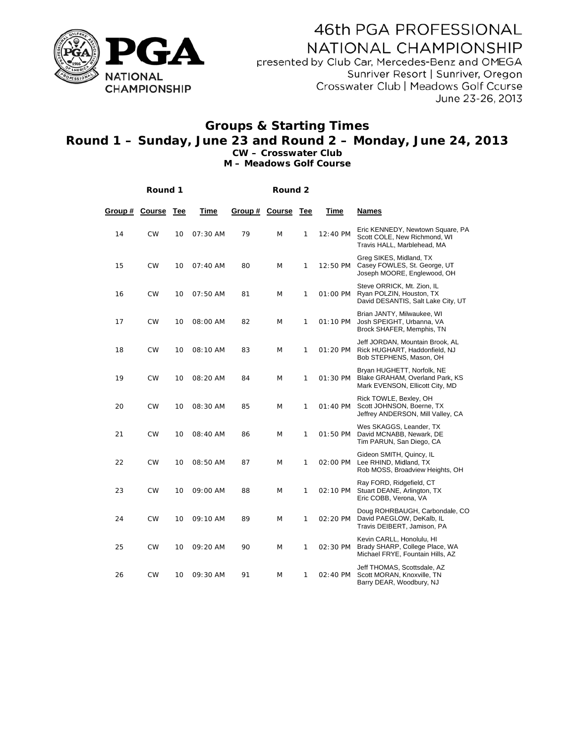

presented by Club Car, Mercedes-Benz and OMEGA Sunriver Resort | Sunriver, Oregon Crosswater Club | Meadows Golf Course June 23-26, 2013

#### **Groups & Starting Times** Round 1 - Sunday, June 23 and Round 2 - Monday, June 24, 2013 **CW** - Crosswater Club

|                | Round 1   |            |          |                | Round 2 |     |          |                                                                                                  |
|----------------|-----------|------------|----------|----------------|---------|-----|----------|--------------------------------------------------------------------------------------------------|
| Group # Course |           | <b>Tee</b> | Time     | Group # Course |         | Tee | Time     | <b>Names</b>                                                                                     |
| 14             | <b>CW</b> | 10         | 07:30 AM | 79             | M       | 1   | 12:40 PM | Eric KENNEDY, Newtown Square, PA<br>Scott COLE, New Richmond, WI<br>Travis HALL, Marblehead, MA  |
| 15             | <b>CW</b> | 10         | 07:40 AM | 80             | M       | 1   | 12:50 PM | Greg SIKES, Midland, TX<br>Casey FOWLES, St. George, UT<br>Joseph MOORE, Englewood, OH           |
| 16             | <b>CW</b> | 10         | 07:50 AM | 81             | M       | 1   | 01:00 PM | Steve ORRICK, Mt. Zion, IL<br>Ryan POLZIN, Houston, TX<br>David DESANTIS, Salt Lake City, UT     |
| 17             | <b>CW</b> | 10         | 08:00 AM | 82             | M       | 1   | 01:10 PM | Brian JANTY, Milwaukee, WI<br>Josh SPEIGHT, Urbanna, VA<br>Brock SHAFER, Memphis, TN             |
| 18             | <b>CW</b> | 10         | 08:10 AM | 83             | M       | 1   | 01:20 PM | Jeff JORDAN, Mountain Brook, AL<br>Rick HUGHART, Haddonfield, NJ<br>Bob STEPHENS, Mason, OH      |
| 19             | <b>CW</b> | 10         | 08:20 AM | 84             | M       | 1   | 01:30 PM | Bryan HUGHETT, Norfolk, NE<br>Blake GRAHAM, Overland Park, KS<br>Mark EVENSON, Ellicott City, MD |
| 20             | <b>CW</b> | 10         | 08:30 AM | 85             | M       | 1   | 01:40 PM | Rick TOWLE, Bexley, OH<br>Scott JOHNSON, Boerne, TX<br>Jeffrey ANDERSON, Mill Valley, CA         |
| 21             | <b>CW</b> | 10         | 08:40 AM | 86             | M       | 1   | 01:50 PM | Wes SKAGGS, Leander, TX<br>David MCNABB, Newark, DE<br>Tim PARUN, San Diego, CA                  |
| 22             | <b>CW</b> | 10         | 08:50 AM | 87             | M       | 1   | 02:00 PM | Gideon SMITH, Quincy, IL<br>Lee RHIND, Midland, TX<br>Rob MOSS, Broadview Heights, OH            |
| 23             | <b>CW</b> | 10         | 09:00 AM | 88             | M       | 1   | 02:10 PM | Ray FORD, Ridgefield, CT<br>Stuart DEANE, Arlington, TX<br>Eric COBB, Verona, VA                 |
| 24             | <b>CW</b> | 10         | 09:10 AM | 89             | M       | 1   | 02:20 PM | Doug ROHRBAUGH, Carbondale, CO<br>David PAEGLOW, DeKalb, IL<br>Travis DEIBERT, Jamison, PA       |
| 25             | <b>CW</b> | 10         | 09:20 AM | 90             | M       | 1   | 02:30 PM | Kevin CARLL, Honolulu, HI<br>Brady SHARP, College Place, WA<br>Michael FRYE, Fountain Hills, AZ  |
| 26             | <b>CW</b> | 10         | 09:30 AM | 91             | M       | 1   | 02:40 PM | Jeff THOMAS, Scottsdale, AZ<br>Scott MORAN, Knoxville, TN<br>Barry DEAR, Woodbury, NJ            |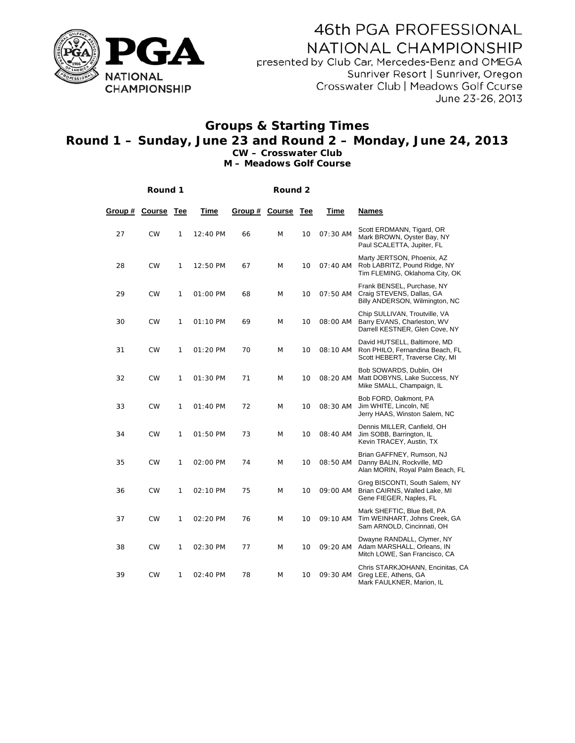

presented by Club Car, Mercedes-Benz and OMEGA Sunriver Resort | Sunriver, Oregon Crosswater Club | Meadows Golf Course June 23-26, 2013

#### **Round 1 – Sunday, June 23 and Round 2 – Monday, June 24, 2013 Groups & Starting Times CW – C Crosswate er Club**

|         | Round 1       |              |            |         | Round <sub>2</sub> |     |          |                                                                                                    |
|---------|---------------|--------------|------------|---------|--------------------|-----|----------|----------------------------------------------------------------------------------------------------|
| Group # | <b>Course</b> | Tee          | Time       | Group # | <b>Course</b>      | Tee | Time     | <b>Names</b>                                                                                       |
| 27      | <b>CW</b>     | 1            | 12:40 PM   | 66      | M                  | 10  | 07:30 AM | Scott ERDMANN, Tigard, OR<br>Mark BROWN, Oyster Bay, NY<br>Paul SCALETTA, Jupiter, FL              |
| 28      | <b>CW</b>     | 1            | 12:50 PM   | 67      | M                  | 10  | 07:40 AM | Marty JERTSON, Phoenix, AZ<br>Rob LABRITZ, Pound Ridge, NY<br>Tim FLEMING, Oklahoma City, OK       |
| 29      | <b>CW</b>     | 1            | 01:00 PM   | 68      | M                  | 10  | 07:50 AM | Frank BENSEL, Purchase, NY<br>Craig STEVENS, Dallas, GA<br>Billy ANDERSON, Wilmington, NC          |
| 30      | <b>CW</b>     | 1            | 01:10 PM   | 69      | M                  | 10  | 08:00 AM | Chip SULLIVAN, Troutville, VA<br>Barry EVANS, Charleston, WV<br>Darrell KESTNER, Glen Cove, NY     |
| 31      | <b>CW</b>     | $\mathbf{1}$ | $01:20$ PM | 70      | M                  | 10  | 08:10 AM | David HUTSELL, Baltimore, MD<br>Ron PHILO, Fernandina Beach, FL<br>Scott HEBERT, Traverse City, MI |
| 32      | <b>CW</b>     | 1            | 01:30 PM   | 71      | M                  | 10  | 08:20 AM | Bob SOWARDS, Dublin, OH<br>Matt DOBYNS, Lake Success, NY<br>Mike SMALL, Champaign, IL              |
| 33      | <b>CW</b>     | 1            | 01:40 PM   | 72      | M                  | 10  | 08:30 AM | Bob FORD, Oakmont, PA<br>Jim WHITE, Lincoln, NE<br>Jerry HAAS, Winston Salem, NC                   |
| 34      | <b>CW</b>     | $\mathbf{1}$ | 01:50 PM   | 73      | M                  | 10  | 08:40 AM | Dennis MILLER, Canfield, OH<br>Jim SOBB, Barrington, IL<br>Kevin TRACEY, Austin, TX                |
| 35      | <b>CW</b>     | 1            | 02:00 PM   | 74      | M                  | 10  | 08:50 AM | Brian GAFFNEY, Rumson, NJ<br>Danny BALIN, Rockville, MD<br>Alan MORIN, Royal Palm Beach, FL        |
| 36      | <b>CW</b>     | 1            | 02:10 PM   | 75      | M                  | 10  | 09:00 AM | Greg BISCONTI, South Salem, NY<br>Brian CAIRNS, Walled Lake, MI<br>Gene FIEGER, Naples, FL         |
| 37      | <b>CW</b>     | 1            | 02:20 PM   | 76      | M                  | 10  | 09:10 AM | Mark SHEFTIC, Blue Bell, PA<br>Tim WEINHART, Johns Creek, GA<br>Sam ARNOLD, Cincinnati, OH         |
| 38      | <b>CW</b>     | 1            | 02:30 PM   | 77      | M                  | 10  | 09:20 AM | Dwayne RANDALL, Clymer, NY<br>Adam MARSHALL, Orleans, IN<br>Mitch LOWE, San Francisco, CA          |
| 39      | <b>CW</b>     | 1            | 02:40 PM   | 78      | M                  | 10  | 09:30 AM | Chris STARKJOHANN, Encinitas, CA<br>Greg LEE, Athens, GA<br>Mark FAULKNER, Marion, IL              |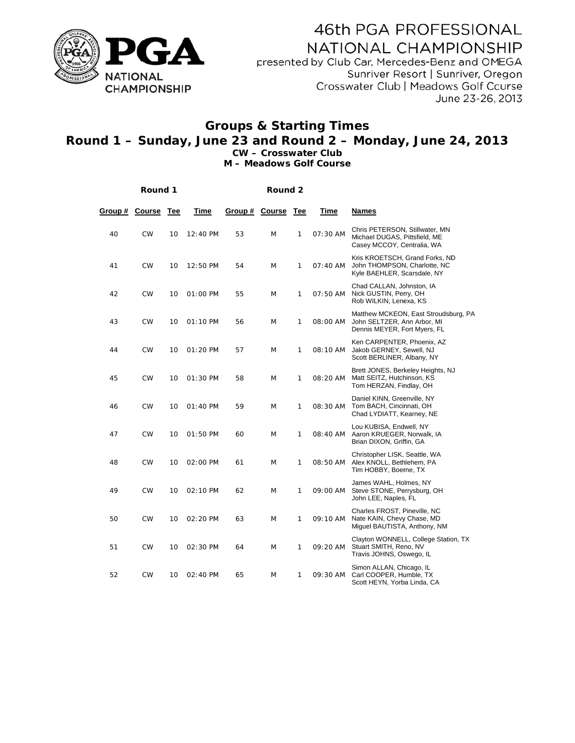

presented by Club Car, Mercedes-Benz and OMEGA Sunriver Resort | Sunriver, Oregon Crosswater Club | Meadows Golf Course June 23-26, 2013

#### **Groups & Starting Times** Round 1 - Sunday, June 23 and Round 2 - Monday, June 24, 2013 **CW - Crosswater Club**

|        | Round 1       |     |          |                | Round 2 |            |          |                                                                                                     |
|--------|---------------|-----|----------|----------------|---------|------------|----------|-----------------------------------------------------------------------------------------------------|
| Group# | <b>Course</b> | Tee | Time     | Group # Course |         | <b>Tee</b> | Time     | Names                                                                                               |
| 40     | <b>CW</b>     | 10  | 12:40 PM | 53             | M       | 1          | 07:30 AM | Chris PETERSON, Stillwater, MN<br>Michael DUGAS, Pittsfield, ME<br>Casey MCCOY, Centralia, WA       |
| 41     | <b>CW</b>     | 10  | 12:50 PM | 54             | M       | 1          | 07:40 AM | Kris KROETSCH, Grand Forks, ND<br>John THOMPSON, Charlotte, NC<br>Kyle BAEHLER, Scarsdale, NY       |
| 42     | <b>CW</b>     | 10  | 01:00 PM | 55             | M       | 1          | 07:50 AM | Chad CALLAN, Johnston, IA<br>Nick GUSTIN, Perry, OH<br>Rob WILKIN, Lenexa, KS                       |
| 43     | <b>CW</b>     | 10  | 01:10 PM | 56             | M       | 1          | 08:00 AM | Matthew MCKEON, East Stroudsburg, PA<br>John SELTZER, Ann Arbor, MI<br>Dennis MEYER, Fort Myers, FL |
| 44     | <b>CW</b>     | 10  | 01:20 PM | 57             | M       | 1          | 08:10 AM | Ken CARPENTER, Phoenix, AZ<br>Jakob GERNEY, Sewell, NJ<br>Scott BERLINER, Albany, NY                |
| 45     | <b>CW</b>     | 10  | 01:30 PM | 58             | M       | 1          | 08:20 AM | Brett JONES, Berkeley Heights, NJ<br>Matt SEITZ, Hutchinson, KS<br>Tom HERZAN, Findlay, OH          |
| 46     | <b>CW</b>     | 10  | 01:40 PM | 59             | M       | 1          | 08:30 AM | Daniel KINN, Greenville, NY<br>Tom BACH, Cincinnati, OH<br>Chad LYDIATT, Kearney, NE                |
| 47     | <b>CW</b>     | 10  | 01:50 PM | 60             | M       | 1          | 08:40 AM | Lou KUBISA, Endwell, NY<br>Aaron KRUEGER, Norwalk, IA<br>Brian DIXON, Griffin, GA                   |
| 48     | <b>CW</b>     | 10  | 02:00 PM | 61             | M       | 1          | 08:50 AM | Christopher LISK, Seattle, WA<br>Alex KNOLL, Bethlehem, PA<br>Tim HOBBY, Boerne, TX                 |
| 49     | <b>CW</b>     | 10  | 02:10 PM | 62             | M       | 1          | 09:00 AM | James WAHL, Holmes, NY<br>Steve STONE, Perrysburg, OH<br>John LEE, Naples, FL                       |
| 50     | <b>CW</b>     | 10  | 02:20 PM | 63             | M       | 1          | 09:10 AM | Charles FROST, Pineville, NC<br>Nate KAIN, Chevy Chase, MD<br>Miguel BAUTISTA, Anthony, NM          |
| 51     | <b>CW</b>     | 10  | 02:30 PM | 64             | M       | 1          | 09:20 AM | Clayton WONNELL, College Station, TX<br>Stuart SMITH, Reno, NV<br>Travis JOHNS, Oswego, IL          |
| 52     | <b>CW</b>     | 10  | 02:40 PM | 65             | M       | 1          | 09:30 AM | Simon ALLAN, Chicago, IL<br>Carl COOPER, Humble, TX<br>Scott HEYN, Yorba Linda, CA                  |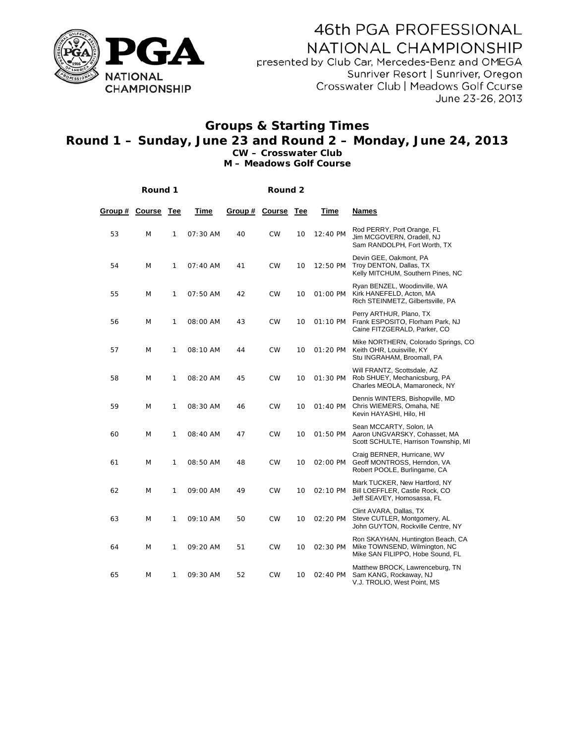

presented by Club Car, Mercedes-Benz and OMEGA Sunriver Resort | Sunriver, Oregon Crosswater Club | Meadows Golf Course June 23-26, 2013

#### **Groups & Starting Times** Round 1 - Sunday, June 23 and Round 2 - Monday, June 24, 2013 **CW - Crosswater Club**

|         | Round 1       |     |          |         | Round 2       |     |          |                                                                                                        |
|---------|---------------|-----|----------|---------|---------------|-----|----------|--------------------------------------------------------------------------------------------------------|
| Group # | <b>Course</b> | Tee | Time     | Group # | <b>Course</b> | Tee | Time     | Names                                                                                                  |
| 53      | M             | 1   | 07:30 AM | 40      | <b>CW</b>     | 10  | 12:40 PM | Rod PERRY, Port Orange, FL<br>Jim MCGOVERN, Oradell, NJ<br>Sam RANDOLPH, Fort Worth, TX                |
| 54      | M             | 1   | 07:40 AM | 41      | <b>CW</b>     | 10  | 12:50 PM | Devin GEE, Oakmont, PA<br>Troy DENTON, Dallas, TX<br>Kelly MITCHUM, Southern Pines, NC                 |
| 55      | M             | 1   | 07:50 AM | 42      | <b>CW</b>     | 10  | 01:00 PM | Ryan BENZEL, Woodinville, WA<br>Kirk HANEFELD, Acton, MA<br>Rich STEINMETZ, Gilbertsville, PA          |
| 56      | M             | 1   | 08:00 AM | 43      | <b>CW</b>     | 10  | 01:10 PM | Perry ARTHUR, Plano, TX<br>Frank ESPOSITO, Florham Park, NJ<br>Caine FITZGERALD, Parker, CO            |
| 57      | M             | 1   | 08:10 AM | 44      | <b>CW</b>     | 10  | 01:20 PM | Mike NORTHERN, Colorado Springs, CC<br>Keith OHR, Louisville, KY<br>Stu INGRAHAM, Broomall, PA         |
| 58      | M             | 1   | 08:20 AM | 45      | <b>CW</b>     | 10  | 01:30 PM | Will FRANTZ, Scottsdale, AZ<br>Rob SHUEY, Mechanicsburg, PA<br>Charles MEOLA, Mamaroneck, NY           |
| 59      | M             | 1   | 08:30 AM | 46      | <b>CW</b>     | 10  | 01:40 PM | Dennis WINTERS, Bishopville, MD<br>Chris WIEMERS, Omaha, NE<br>Kevin HAYASHI, Hilo, HI                 |
| 60      | M             | 1   | 08:40 AM | 47      | <b>CW</b>     | 10  | 01:50 PM | Sean MCCARTY, Solon, IA<br>Aaron UNGVARSKY, Cohasset, MA<br>Scott SCHULTE, Harrison Township, MI       |
| 61      | M             | 1   | 08:50 AM | 48      | <b>CW</b>     | 10  | 02:00 PM | Craig BERNER, Hurricane, WV<br>Geoff MONTROSS, Herndon, VA<br>Robert POOLE, Burlingame, CA             |
| 62      | M             | 1   | 09:00 AM | 49      | <b>CW</b>     | 10  | 02:10 PM | Mark TUCKER, New Hartford, NY<br>Bill LOEFFLER, Castle Rock, CO<br>Jeff SEAVEY, Homosassa, FL          |
| 63      | M             | 1   | 09:10 AM | 50      | <b>CW</b>     | 10  | 02:20 PM | Clint AVARA, Dallas, TX<br>Steve CUTLER, Montgomery, AL<br>John GUYTON, Rockville Centre, NY           |
| 64      | M             | 1   | 09:20 AM | 51      | <b>CW</b>     | 10  | 02:30 PM | Ron SKAYHAN, Huntington Beach, CA<br>Mike TOWNSEND, Wilmington, NC<br>Mike SAN FILIPPO, Hobe Sound, FL |
| 65      | M             | 1   | 09:30 AM | 52      | <b>CW</b>     | 10  | 02:40 PM | Matthew BROCK, Lawrenceburg, TN<br>Sam KANG, Rockaway, NJ<br>V.J. TROLIO, West Point, MS               |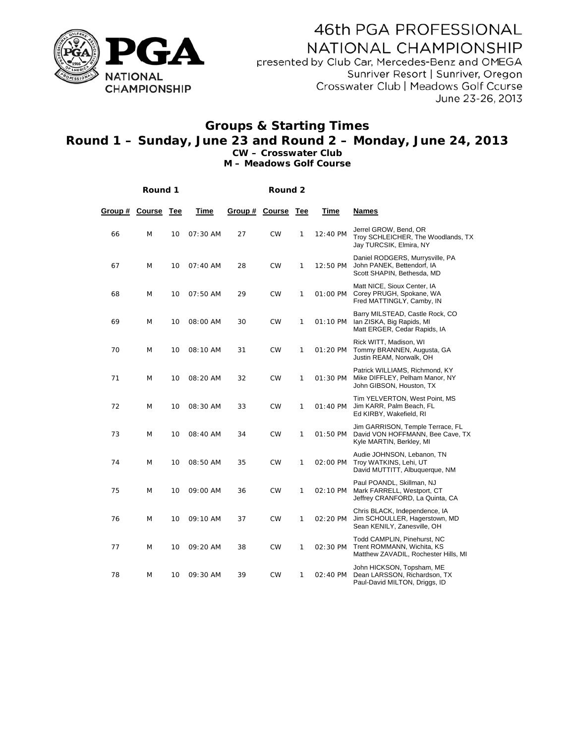

presented by Club Car, Mercedes-Benz and OMEGA Sunriver Resort | Sunriver, Oregon Crosswater Club | Meadows Golf Course June 23-26, 2013

#### **Groups & Starting Times** Round 1 - Sunday, June 23 and Round 2 - Monday, June 24, 2013 **CW - Crosswater Club**

|         | Round 1       |     |          |         | Round 2       |     |          |                                                                                                   |  |  |
|---------|---------------|-----|----------|---------|---------------|-----|----------|---------------------------------------------------------------------------------------------------|--|--|
| Group # | <b>Course</b> | Tee | Time     | Group # | <b>Course</b> | Tee | Time     | Names                                                                                             |  |  |
| 66      | M             | 10  | 07:30 AM | 27      | <b>CW</b>     | 1   | 12:40 PM | Jerrel GROW, Bend, OR<br>Troy SCHLEICHER, The Woodlands, TX<br>Jay TURCSIK, Elmira, NY            |  |  |
| 67      | M             | 10  | 07:40 AM | 28      | <b>CW</b>     | 1   | 12:50 PM | Daniel RODGERS, Murrysville, PA<br>John PANEK, Bettendorf, IA<br>Scott SHAPIN, Bethesda, MD       |  |  |
| 68      | M             | 10  | 07:50 AM | 29      | <b>CW</b>     | 1   | 01:00 PM | Matt NICE, Sioux Center, IA<br>Corey PRUGH, Spokane, WA<br>Fred MATTINGLY, Camby, IN              |  |  |
| 69      | M             | 10  | 08:00 AM | 30      | <b>CW</b>     | 1   | 01:10 PM | Barry MILSTEAD, Castle Rock, CO<br>Ian ZISKA, Big Rapids, MI<br>Matt ERGER, Cedar Rapids, IA      |  |  |
| 70      | M             | 10  | 08:10 AM | 31      | <b>CW</b>     | 1   | 01:20 PM | Rick WITT, Madison, WI<br>Tommy BRANNEN, Augusta, GA<br>Justin REAM, Norwalk, OH                  |  |  |
| 71      | M             | 10  | 08:20 AM | 32      | <b>CW</b>     | 1   | 01:30 PM | Patrick WILLIAMS, Richmond, KY<br>Mike DIFFLEY, Pelham Manor, NY<br>John GIBSON, Houston, TX      |  |  |
| 72      | M             | 10  | 08:30 AM | 33      | <b>CW</b>     | 1   | 01:40 PM | Tim YELVERTON, West Point, MS<br>Jim KARR, Palm Beach, FL<br>Ed KIRBY, Wakefield, RI              |  |  |
| 73      | M             | 10  | 08:40 AM | 34      | <b>CW</b>     | 1   | 01:50 PM | Jim GARRISON, Temple Terrace, FL<br>David VON HOFFMANN, Bee Cave, TX<br>Kyle MARTIN, Berkley, MI  |  |  |
| 74      | M             | 10  | 08:50 AM | 35      | <b>CW</b>     | 1   | 02:00 PM | Audie JOHNSON, Lebanon, TN<br>Troy WATKINS, Lehi, UT<br>David MUTTITT, Albuquerque, NM            |  |  |
| 75      | M             | 10  | 09:00 AM | 36      | <b>CW</b>     | 1   | 02:10 PM | Paul POANDL, Skillman, NJ<br>Mark FARRELL, Westport, CT<br>Jeffrey CRANFORD, La Quinta, CA        |  |  |
| 76      | M             | 10  | 09:10 AM | 37      | <b>CW</b>     | 1   | 02:20 PM | Chris BLACK, Independence, IA<br>Jim SCHOULLER, Hagerstown, MD<br>Sean KENILY, Zanesville, OH     |  |  |
| 77      | M             | 10  | 09:20 AM | 38      | <b>CW</b>     | 1   | 02:30 PM | Todd CAMPLIN, Pinehurst, NC<br>Trent ROMMANN, Wichita, KS<br>Matthew ZAVADIL, Rochester Hills, MI |  |  |
| 78      | M             | 10  | 09:30 AM | 39      | <b>CW</b>     | 1   | 02:40 PM | John HICKSON, Topsham, ME<br>Dean LARSSON, Richardson, TX<br>Paul-David MILTON, Driggs, ID        |  |  |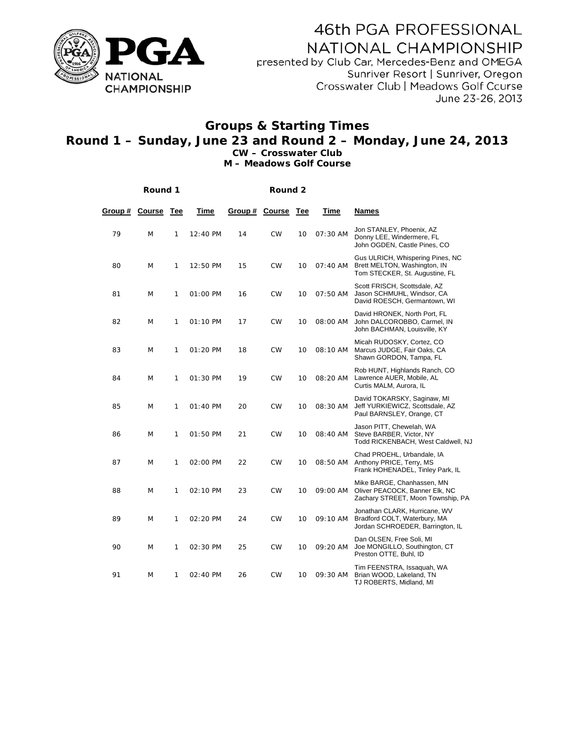

presented by Club Car, Mercedes-Benz and OMEGA Sunriver Resort | Sunriver, Oregon Crosswater Club | Meadows Golf Course June 23-26, 2013

#### **Round 1 – Sunday, June 23 and Round 2 – Monday, June 24, 201 Groups & Starting Times CW – C Crosswate er Club**

|         | d 1 – Sunday, June 23 and Round 2 – Monday, June 24, 2013<br><b>CW - Crosswater Club</b><br>M - Meadows Golf Course |            |          |                |           |            |          |                                                                                                    |  |  |  |  |  |  |
|---------|---------------------------------------------------------------------------------------------------------------------|------------|----------|----------------|-----------|------------|----------|----------------------------------------------------------------------------------------------------|--|--|--|--|--|--|
|         | Round 1                                                                                                             |            |          |                |           |            |          |                                                                                                    |  |  |  |  |  |  |
| Group # | <u>Course</u>                                                                                                       | <u>Tee</u> | Time     | Group # Course |           | <u>Tee</u> | Time     | <u>Names</u>                                                                                       |  |  |  |  |  |  |
| 79      | M                                                                                                                   | 1          | 12:40 PM | 14             | <b>CW</b> | 10         | 07:30 AM | Jon STANLEY, Phoenix, AZ<br>Donny LEE, Windermere, FL<br>John OGDEN, Castle Pines, CO              |  |  |  |  |  |  |
| 80      | M                                                                                                                   | 1          | 12:50 PM | 15             | <b>CW</b> | 10         | 07:40 AM | Gus ULRICH, Whispering Pines, NC<br>Brett MELTON, Washington, IN<br>Tom STECKER, St. Augustine, FL |  |  |  |  |  |  |
| 81      | M                                                                                                                   | 1          | 01:00 PM | 16             | <b>CW</b> | 10         | 07:50 AM | Scott FRISCH, Scottsdale, AZ<br>Jason SCHMUHL, Windsor, CA<br>David ROESCH, Germantown, WI         |  |  |  |  |  |  |
| 82      | M                                                                                                                   | 1          | 01:10 PM | 17             | <b>CW</b> | 10         | 08:00 AM | David HRONEK, North Port, FL<br>John DALCOROBBO, Carmel, IN<br>John BACHMAN, Louisville, KY        |  |  |  |  |  |  |
| 83      | M                                                                                                                   | 1          | 01:20 PM | 18             | <b>CW</b> | 10         | 08:10 AM | Micah RUDOSKY, Cortez, CO<br>Marcus JUDGE, Fair Oaks, CA<br>Shawn GORDON, Tampa, FL                |  |  |  |  |  |  |
| 84      | M                                                                                                                   | 1          | 01:30 PM | 19             | <b>CW</b> | 10         | 08:20 AM | Rob HUNT, Highlands Ranch, CO<br>Lawrence AUER, Mobile, AL<br>Curtis MALM, Aurora, IL              |  |  |  |  |  |  |
| 85      | M                                                                                                                   | 1          | 01:40 PM | 20             | <b>CW</b> | 10         | 08:30 AM | David TOKARSKY, Saginaw, MI<br>Jeff YURKIEWICZ, Scottsdale, AZ<br>Paul BARNSLEY, Orange, CT        |  |  |  |  |  |  |
| 86      | M                                                                                                                   | 1          | 01:50 PM | 21             | <b>CW</b> | 10         | 08:40 AM | Jason PITT, Chewelah, WA<br>Steve BARBER, Victor, NY<br>Todd RICKENBACH, West Caldwell, NJ         |  |  |  |  |  |  |
| 87      | M                                                                                                                   | 1          | 02:00 PM | 22             | CW        | 10         | 08:50 AM | Chad PROEHL, Urbandale, IA<br>Anthony PRICE, Terry, MS<br>Frank HOHENADEL, Tinley Park, IL         |  |  |  |  |  |  |
| 88      | M                                                                                                                   | 1          | 02:10 PM | 23             | <b>CW</b> | 10         | 09:00 AM | Mike BARGE, Chanhassen, MN<br>Oliver PEACOCK, Banner Elk, NC<br>Zachary STREET, Moon Township, PA  |  |  |  |  |  |  |
| 89      | M                                                                                                                   | 1          | 02:20 PM | 24             | <b>CW</b> | 10         | 09:10 AM | Jonathan CLARK, Hurricane, WV<br>Bradford COLT, Waterbury, MA<br>Jordan SCHROEDER, Barrington, IL  |  |  |  |  |  |  |
| 90      | M                                                                                                                   | 1          | 02:30 PM | 25             | <b>CW</b> | 10         | 09:20 AM | Dan OLSEN, Free Soli, MI<br>Joe MONGILLO, Southington, CT<br>Preston OTTE, Buhl, ID                |  |  |  |  |  |  |
| 91      | M                                                                                                                   | 1          | 02:40 PM | 26             | <b>CW</b> | 10         | 09:30 AM | Tim FEENSTRA, Issaquah, WA<br>Brian WOOD, Lakeland, TN<br>TJ ROBERTS, Midland, MI                  |  |  |  |  |  |  |